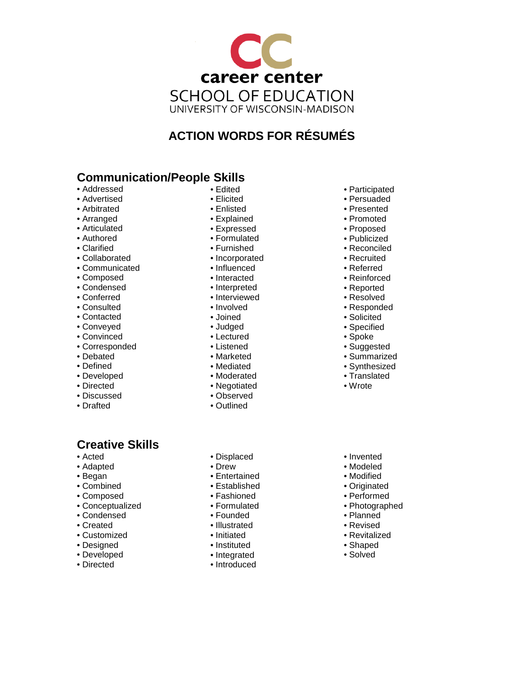

# **ACTION WORDS FOR RÉSUMÉS**

## **Communication/People Skills**

- Addressed
- Advertised
- Arbitrated
- Arranged
- Articulated
- Authored
- Clarified
- Collaborated
- Communicated
- Composed
- Condensed
- Conferred
- Consulted
- Contacted
- Conveyed
- Convinced
- Corresponded
- Debated
- Defined
- Developed
- Directed • Discussed
- 
- Drafted

## **Creative Skills**

- Acted
- Adapted
- Began
- Combined
- Composed
- Conceptualized
- Condensed
- Created
- Customized
- Designed
- Developed
- Directed
- Edited
	- Elicited
	- Enlisted
	- Explained
	- Expressed
	- Formulated
	- Furnished
	- Incorporated
	- Influenced
	- Interacted
	- Interpreted
	- Interviewed
	-
	- Joined
	- Judged
	- Lectured
	- Listened
	- Marketed
	- Mediated
	-
	-
	- Observed
	- Outlined
		-

• Displaced • Drew • Entertained • Established • Fashioned • Formulated • Founded • Illustrated • Initiated • Instituted • Integrated • Introduced

- Participated • Persuaded
- Presented
- Promoted
- Proposed
- Publicized
- Reconciled
- Recruited
- Referred
- Reinforced
- Reported
- Resolved
- Responded • Solicited
- 
- Specified
- Spoke
- Suggested
- Summarized • Synthesized
- Translated
- 
- Wrote
- Invented
- Modeled
- Modified
- Originated
- Performed
- Photographed
- Planned
- Revised
- Revitalized
- Shaped
- Solved
- 
- Moderated
- Negotiated
- 
- 

• Involved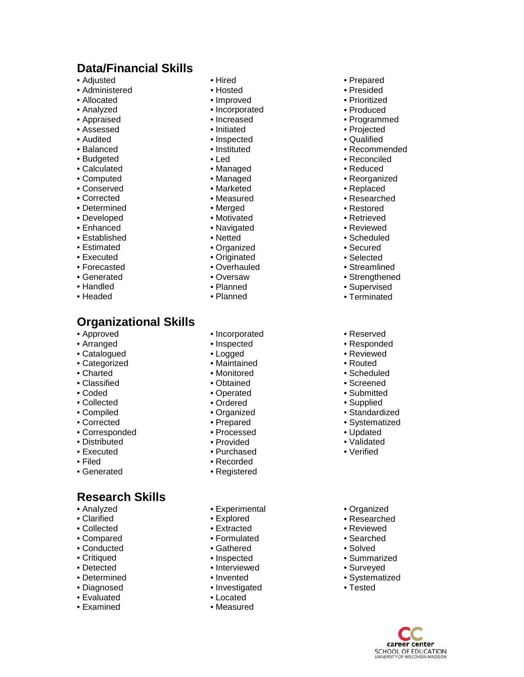### **Data/Financial Skills**

- Adjusted
- Administered
- Allocated
- Analyzed
- Appraised
- Assessed
- Audited
- Balanced
- Budgeted
- Calculated
- Computed
- Conserved
- Corrected
- Determined
- Developed
- Enhanced
- Established
- Estimated
- Executed
- Forecasted
- Generated
- Handled
- Headed
- **Organizational Skills**
- Approved
- Arranged
- Catalogued
- Categorized
- Charted
- Classified
- Coded
- Collected
- Compiled
- Corrected
- Corresponded
- Distributed
- Executed
- Filed
- Generated

### **Research Skills**

- Analyzed
- Clarified
- Collected
- Compared
- Conducted
- Critiqued
- Detected
- Determined
- Diagnosed
- Evaluated
- Examined
- Hired
	- Hosted
	- Improved
	- Incorporated

• Prepared • Presided • Prioritized • Produced • Programmed • Projected • Qualified • Recommended • Reconciled • Reduced • Reorganized • Replaced • Researched • Restored • Retrieved • Reviewed • Scheduled • Secured • Selected • Streamlined • Strengthened • Supervised • Terminated

• Reserved • Responded • Reviewed • Routed • Scheduled • Screened • Submitted • Supplied • Standardized • Systematized • Updated • Validated • Verified

• Organized • Researched • Reviewed • Searched • Solved • Summarized • Surveyed • Systematized • Tested

> career center **SCHOOL OF EDUCATION**<br>UNIVERSITY OF WISCONSIN-MADISON

- Increased
- Initiated
- Inspected
- Instituted
- Led
- Managed
- Managed
- Marketed
- Measured
- Merged
- Motivated
- Navigated
- Netted
- Organized
- Originated
- Overhauled
- Oversaw
- Planned
- Planned
- Incorporated
- Inspected
- Logged
- Maintained
- Monitored
- Obtained
- Operated
- Ordered
- Organized
- Prepared
- Processed
- Provided
- Purchased
- Recorded
- Registered
- Experimental
- Explore d
- Extracted
- Formulated
- Gathered
- Inspected
- Interviewed
- Invented
- Investigated
- Located • Measured